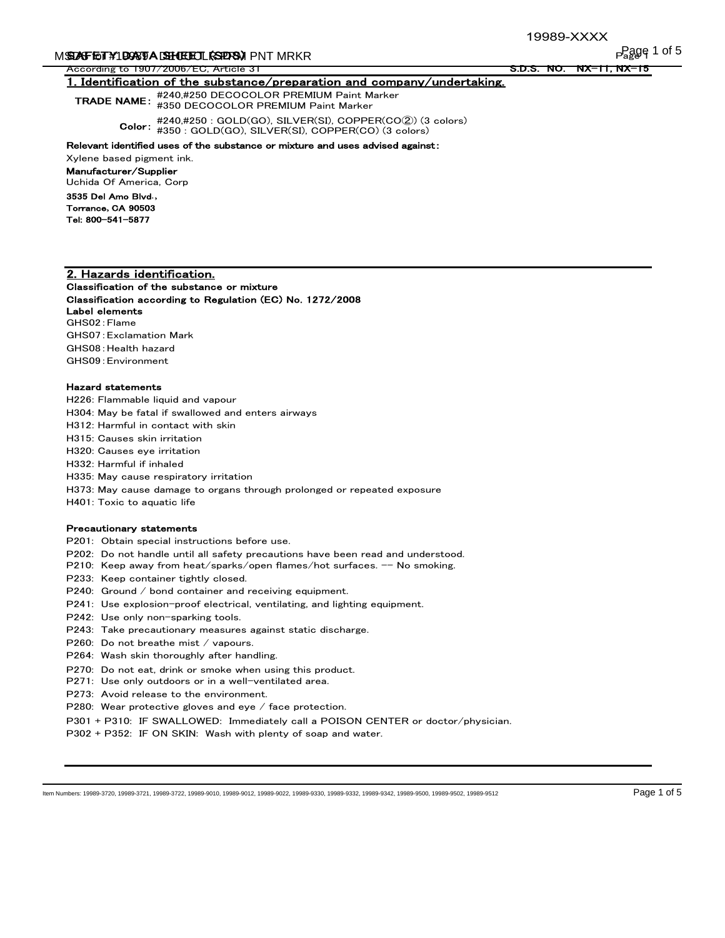# M**SDAFETY 1DOSTA DEHUEDEL KSPRA)I** PNT MRKR

According to 1907/2006/EC, Article 31

<u>S.D.S. NO. NX-11, NX-</u>

# 1. Identification of the substance/preparation and company/undertaking.

TRADE NAME: #240,#250 DECOCOLOR PREMIUM Paint Marker #350 DECOCOLOR PREMIUM Paint Marker

Color: #350 : GOLD(GO), SILVER(SI), COPPER(CO) (3 colors) #240,#250 : GOLD(GO), SILVER(SI), COPPER(CO②) (3 colors)

#### Relevant identified uses of the substance or mixture and uses advised against:

Xylene based pigment ink.

Manufacturer/Supplier

Uchida Of America, Corp 3535 Del Amo Blvd**.,** Torrance**,** CA 90503

Tel: 800-541-5877

# 2. Hazards identification.

Classification of the substance or mixture

Classification according to Regulation (EC) No. 1272/2008 Label elements GHS02:Flame GHS07:Exclamation Mark GHS08:Health hazard GHS09:Environment

#### Hazard statements

H226: Flammable liquid and vapour

H304: May be fatal if swallowed and enters airways

H312: Harmful in contact with skin

H315: Causes skin irritation

H320: Causes eye irritation

H332: Harmful if inhaled

H335: May cause respiratory irritation

H373: May cause damage to organs through prolonged or repeated exposure

H401: Toxic to aquatic life

#### Precautionary statements

P201: Obtain special instructions before use.

P202: Do not handle until all safety precautions have been read and understood.

P210: Keep away from heat/sparks/open flames/hot surfaces. -- No smoking.

P233: Keep container tightly closed.

P240: Ground / bond container and receiving equipment.

P241: Use explosion-proof electrical, ventilating, and lighting equipment.

P242: Use only non-sparking tools.

P243: Take precautionary measures against static discharge.

P260: Do not breathe mist / vapours.

P264: Wash skin thoroughly after handling.

P270: Do not eat, drink or smoke when using this product.

P271: Use only outdoors or in a well-ventilated area.

P273: Avoid release to the environment.

P280: Wear protective gloves and eye / face protection.

P301 + P310: IF SWALLOWED: Immediately call a POISON CENTER or doctor/physician.

P302 + P352: IF ON SKIN: Wash with plenty of soap and water.

Item Numbers: 19989-3720, 19989-3721, 19989-3722, 19989-9010, 19989-9012, 19989-9022, 19989-9330, 19989-9332, 19989-9342, 19989-9500, 19989-9502, 19989-9512 Page 1 of 5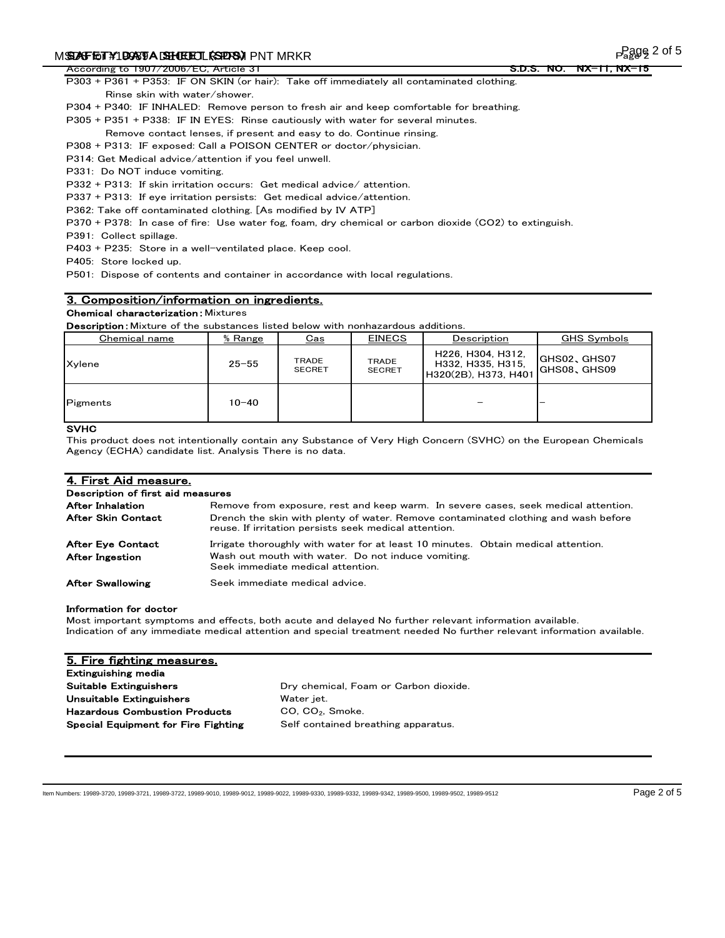# M**SDAFETY 1 DOSTA DEHUEDEL (SPD-S))** PNT MRKR

According to 1907/2006/EC, Article 31

P303 + P361 + P353: IF ON SKIN (or hair): Take off immediately all contaminated clothing.

- Rinse skin with water/shower.
- P304 + P340: IF INHALED: Remove person to fresh air and keep comfortable for breathing.

P305 + P351 + P338: IF IN EYES: Rinse cautiously with water for several minutes.

- Remove contact lenses, if present and easy to do. Continue rinsing.
- P308 + P313: IF exposed: Call a POISON CENTER or doctor/physician.

P314: Get Medical advice/attention if you feel unwell.

P331: Do NOT induce vomiting.

P332 + P313: If skin irritation occurs: Get medical advice/ attention.

P337 + P313: If eye irritation persists: Get medical advice/attention.

P362: Take off contaminated clothing. [As modified by IV ATP]

P370 + P378: In case of fire: Use water fog, foam, dry chemical or carbon dioxide (CO2) to extinguish.

P391: Collect spillage.

P403 + P235: Store in a well-ventilated place. Keep cool.

P405: Store locked up.

P501: Dispose of contents and container in accordance with local regulations.

# 3. Composition/information on ingredients.

# **Chemical characterization: Mixtures**

Description: Mixture of the substances listed below with nonhazardous additions.

| Chemical name | $%$ Range | <u>Cas</u>                    | <b>EINECS</b>                 | Description                                                    | GHS Symbols                  |
|---------------|-----------|-------------------------------|-------------------------------|----------------------------------------------------------------|------------------------------|
| Xvlene        | $25 - 55$ | <b>TRADE</b><br><b>SECRET</b> | <b>TRADE</b><br><b>SECRET</b> | H226, H304, H312,<br>H332, H335, H315,<br>H320(2B), H373, H401 | GHS02, GHS07<br>IGHS08、GHS09 |
| Pigments      | $10 - 40$ |                               |                               |                                                                |                              |

# SVHC

This product does not intentionally contain any Substance of Very High Concern (SVHC) on the European Chemicals Agency (ECHA) candidate list. Analysis There is no data.

# 4. First Aid measure.

| Description of first aid measures                  |                                                                                                                                                                              |  |  |  |
|----------------------------------------------------|------------------------------------------------------------------------------------------------------------------------------------------------------------------------------|--|--|--|
| After Inhalation                                   | Remove from exposure, rest and keep warm. In severe cases, seek medical attention.                                                                                           |  |  |  |
| After Skin Contact                                 | Drench the skin with plenty of water. Remove contaminated clothing and wash before<br>reuse. If irritation persists seek medical attention.                                  |  |  |  |
| <b>After Eve Contact</b><br><b>After Ingestion</b> | Irrigate thoroughly with water for at least 10 minutes. Obtain medical attention.<br>Wash out mouth with water. Do not induce vomiting.<br>Seek immediate medical attention. |  |  |  |
| <b>After Swallowing</b>                            | Seek immediate medical advice.                                                                                                                                               |  |  |  |

## Information for doctor

Most important symptoms and effects, both acute and delayed No further relevant information available. Indication of any immediate medical attention and special treatment needed No further relevant information available.

| 5. Fire fighting measures.                 |                                       |
|--------------------------------------------|---------------------------------------|
| Extinguishing media                        |                                       |
| Suitable Extinguishers                     | Dry chemical, Foam or Carbon dioxide. |
| Unsuitable Extinguishers                   | Water jet.                            |
| <b>Hazardous Combustion Products</b>       | CO, CO <sub>2</sub> , Smoke.          |
| <b>Special Equipment for Fire Fighting</b> | Self contained breathing apparatus.   |
|                                            |                                       |

Item Numbers: 19989-3720, 19989-3721, 19989-3722, 19989-9010, 19989-9012, 19989-9022, 19989-9330, 19989-9332, 19989-9342, 19989-9500, 19989-9502, 19989-9512 Page 2 of 5

<u>S.D.S. NO. NX-11, I</u>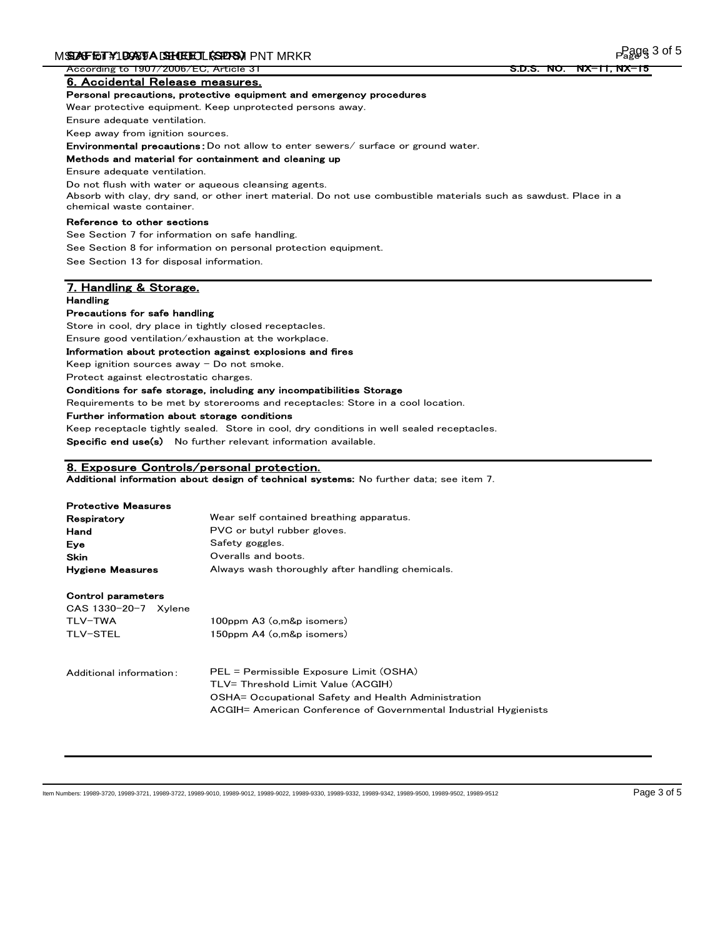According to 1907/2006/EC, Article 31

6. Accidental Release measures.

#### Personal precautions, protective equipment and emergency procedures

Wear protective equipment. Keep unprotected persons away.

Ensure adequate ventilation.

Keep away from ignition sources.

Environmental precautions:Do not allow to enter sewers/ surface or ground water.

#### Methods and material for containment and cleaning up

Ensure adequate ventilation.

Do not flush with water or aqueous cleansing agents.

Absorb with clay, dry sand, or other inert material. Do not use combustible materials such as sawdust. Place in a chemical waste container.

### Reference to other sections

See Section 7 for information on safe handling.

See Section 8 for information on personal protection equipment.

See Section 13 for disposal information.

### 7. Handling & Storage. Handling

#### Precautions for safe handling

Store in cool, dry place in tightly closed receptacles.

Ensure good ventilation/exhaustion at the workplace.

#### Information about protection against explosions and fires

Keep ignition sources away  $-$  Do not smoke.

Protect against electrostatic charges.

## Conditions for safe storage, including any incompatibilities Storage

Requirements to be met by storerooms and receptacles: Store in a cool location.

Further information about storage conditions

Keep receptacle tightly sealed. Store in cool, dry conditions in well sealed receptacles. Specific end use(s) No further relevant information available.

#### 8. Exposure Controls/personal protection.

Additional information about design of technical systems: No further data; see item 7.

#### Protective Measures

| Respiratory             | Wear self contained breathing apparatus.         |
|-------------------------|--------------------------------------------------|
| Hand                    | PVC or butyl rubber gloves.                      |
| Eve                     | Safety goggles.                                  |
| Skin                    | Overalls and boots.                              |
| <b>Hygiene Measures</b> | Always wash thoroughly after handling chemicals. |

#### Control parameters

| $CAS$ 1330-20-7 $Xv$ lene |                           |
|---------------------------|---------------------------|
| TLV-TWA                   | 100ppm A3 (o,m&p isomers) |
| TLV-STEL                  | 150ppm A4 (o,m&p isomers) |
|                           |                           |

Additional information: PEL = Permissible Exposure Limit (OSHA) TLV= Threshold Limit Value (ACGIH) OSHA= Occupational Safety and Health Administration ACGIH= American Conference of Governmental Industrial Hygienists

Item Numbers: 19989-3720, 19989-3721, 19989-3722, 19989-9010, 19989-9012, 19989-9022, 19989-9330, 19989-9332, 19989-9342, 19989-9500, 19989-9502, 19989-9512 Page 3 of 5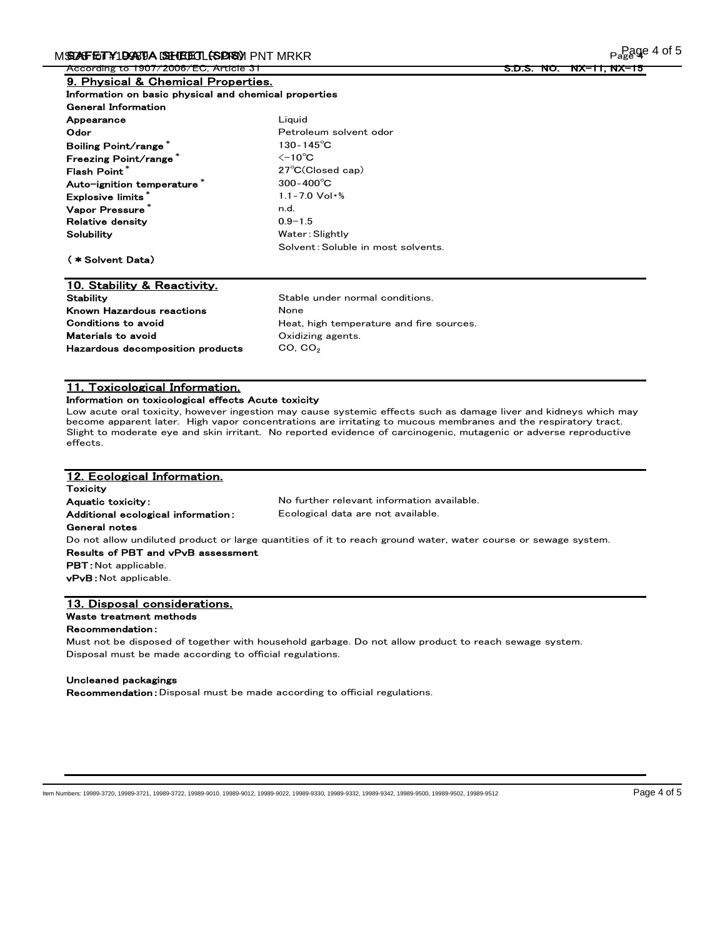According to 1907/2006/EC, Article 31

### 9. Physical & Chemical Properties. Information on basic physical and chemical properties

| <b>General Information</b>  |                                    |
|-----------------------------|------------------------------------|
| Appearance                  | Liauid                             |
| Odor                        | Petroleum solvent odor             |
| Boiling Point/range*        | $130 - 145^{\circ}$ C              |
| Freezing Point/range*       | $\leq$ -10 $^{\circ}$ C            |
| Flash Point*                | $27^{\circ}$ C(Closed cap)         |
| Auto-ignition temperature * | $300 - 400^{\circ}C$               |
| Explosive limits*           | $1.1 - 7.0$ Vol $%$                |
| Vapor Pressure <sup>*</sup> | n.d.                               |
| <b>Relative density</b>     | $0.9 - 1.5$                        |
| Solubility                  | Water: Slightly                    |
|                             | Solvent: Soluble in most solvents. |
| (*Solvent Data)             |                                    |
|                             |                                    |

## 10. Stability & Reactivity. Stability Stable under normal conditions. Known Hazardous reactions **None** Materials to avoid Conditions to avoid

Heat, high temperature and fire sources. Oxidizing agents. Hazardous decomposition products CO, CO<sub>2</sub>

# 11. Toxicological Information.

## Information on toxicological effects Acute toxicity

Low acute oral toxicity, however ingestion may cause systemic effects such as damage liver and kidneys which may become apparent later. High vapor concentrations are irritating to mucous membranes and the respiratory tract. Slight to moderate eye and skin irritant. No reported evidence of carcinogenic, mutagenic or adverse reproductive effects.

| 12. Ecological Information.        |                                                                                                                |
|------------------------------------|----------------------------------------------------------------------------------------------------------------|
| <b>Toxicity</b>                    |                                                                                                                |
| <b>Aquatic toxicity:</b>           | No further relevant information available.                                                                     |
| Additional ecological information: | Ecological data are not available.                                                                             |
| General notes                      |                                                                                                                |
|                                    | Do not allow undiluted product or large quantities of it to reach ground water, water course or sewage system. |
| Results of PBT and vPvB assessment |                                                                                                                |
| <b>PBT</b> : Not applicable.       |                                                                                                                |
| <b>vPvB</b> : Not applicable.      |                                                                                                                |
|                                    |                                                                                                                |
| 13. Disposal considerations.       |                                                                                                                |

## Waste treatment methods

#### Recommendation:

Must not be disposed of together with household garbage. Do not allow product to reach sewage system. Disposal must be made according to official regulations.

#### Uncleaned packagings

Recommendation:Disposal must be made according to official regulations.

Item Numbers: 19989-3720, 19989-3721, 19989-3722, 19989-9010, 19989-9012, 19989-9022, 19989-9330, 19989-9332, 19989-9342, 19989-9500, 19989-9502, 19989-9512 Page 4 of 5